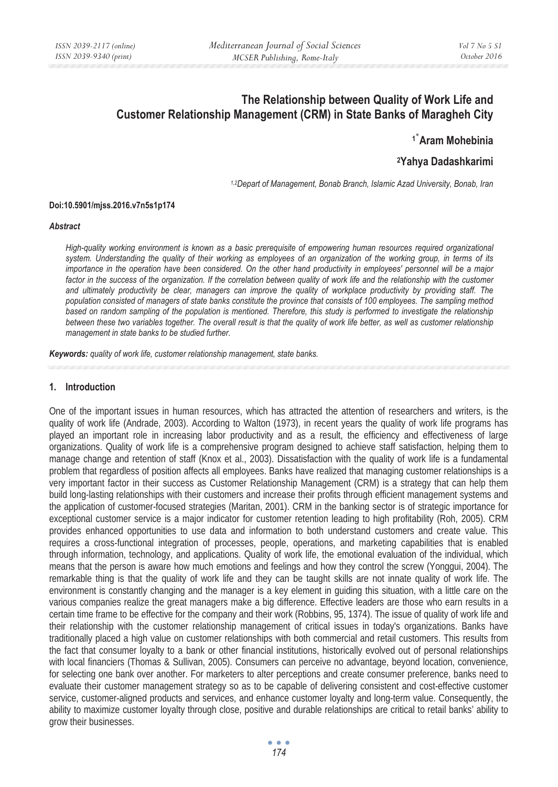# **The Relationship between Quality of Work Life and Customer Relationship Management (CRM) in State Banks of Maragheh City**

**1̅ Aram Mohebinia** 

# **2Yahya Dadashkarimi**

*1,2Depart of Management, Bonab Branch, Islamic Azad University, Bonab, Iran* 

#### **Doi:10.5901/mjss.2016.v7n5s1p174**

#### *Abstract*

*High-quality working environment is known as a basic prerequisite of empowering human resources required organizational system. Understanding the quality of their working as employees of an organization of the working group, in terms of its importance in the operation have been considered. On the other hand productivity in employees' personnel will be a major*  factor in the success of the organization. If the correlation between quality of work life and the relationship with the customer *and ultimately productivity be clear, managers can improve the quality of workplace productivity by providing staff. The population consisted of managers of state banks constitute the province that consists of 100 employees. The sampling method based on random sampling of the population is mentioned. Therefore, this study is performed to investigate the relationship between these two variables together. The overall result is that the quality of work life better, as well as customer relationship management in state banks to be studied further.* 

*Keywords: quality of work life, customer relationship management, state banks.*

#### **1. Introduction**

One of the important issues in human resources, which has attracted the attention of researchers and writers, is the quality of work life (Andrade, 2003). According to Walton (1973), in recent years the quality of work life programs has played an important role in increasing labor productivity and as a result, the efficiency and effectiveness of large organizations. Quality of work life is a comprehensive program designed to achieve staff satisfaction, helping them to manage change and retention of staff (Knox et al., 2003). Dissatisfaction with the quality of work life is a fundamental problem that regardless of position affects all employees. Banks have realized that managing customer relationships is a very important factor in their success as Customer Relationship Management (CRM) is a strategy that can help them build long-lasting relationships with their customers and increase their profits through efficient management systems and the application of customer-focused strategies (Maritan, 2001). CRM in the banking sector is of strategic importance for exceptional customer service is a major indicator for customer retention leading to high profitability (Roh, 2005). CRM provides enhanced opportunities to use data and information to both understand customers and create value. This requires a cross-functional integration of processes, people, operations, and marketing capabilities that is enabled through information, technology, and applications. Quality of work life, the emotional evaluation of the individual, which means that the person is aware how much emotions and feelings and how they control the screw (Yonggui, 2004). The remarkable thing is that the quality of work life and they can be taught skills are not innate quality of work life. The environment is constantly changing and the manager is a key element in guiding this situation, with a little care on the various companies realize the great managers make a big difference. Effective leaders are those who earn results in a certain time frame to be effective for the company and their work (Robbins, 95, 1374). The issue of quality of work life and their relationship with the customer relationship management of critical issues in today's organizations. Banks have traditionally placed a high value on customer relationships with both commercial and retail customers. This results from the fact that consumer loyalty to a bank or other financial institutions, historically evolved out of personal relationships with local financiers (Thomas & Sullivan, 2005). Consumers can perceive no advantage, beyond location, convenience, for selecting one bank over another. For marketers to alter perceptions and create consumer preference, banks need to evaluate their customer management strategy so as to be capable of delivering consistent and cost-effective customer service, customer-aligned products and services, and enhance customer loyalty and long-term value. Consequently, the ability to maximize customer loyalty through close, positive and durable relationships are critical to retail banks' ability to grow their businesses.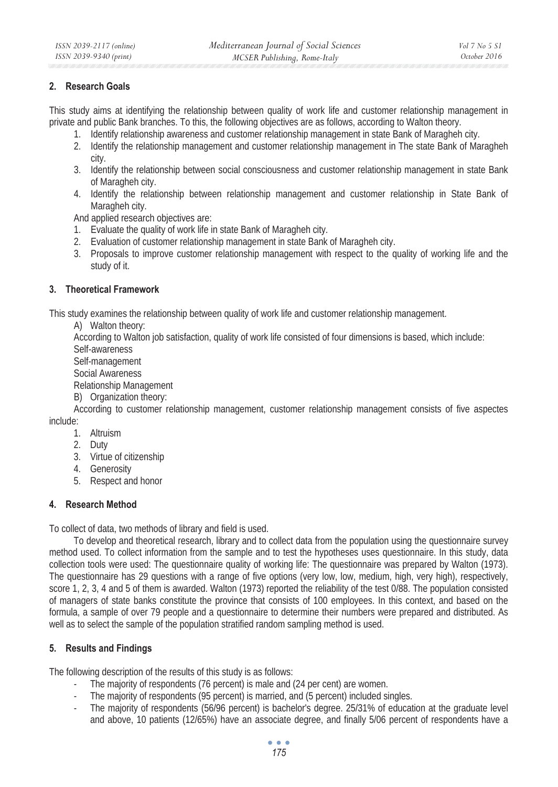#### **2. Research Goals**

This study aims at identifying the relationship between quality of work life and customer relationship management in private and public Bank branches. To this, the following objectives are as follows, according to Walton theory.

- 1. Identify relationship awareness and customer relationship management in state Bank of Maragheh city.
- 2. Identify the relationship management and customer relationship management in The state Bank of Maragheh city.
- 3. Identify the relationship between social consciousness and customer relationship management in state Bank of Maragheh city.
- 4. Identify the relationship between relationship management and customer relationship in State Bank of Maragheh city.

And applied research objectives are:

- 1. Evaluate the quality of work life in state Bank of Maragheh city.
- 2. Evaluation of customer relationship management in state Bank of Maragheh city.
- 3. Proposals to improve customer relationship management with respect to the quality of working life and the study of it.

#### **3. Theoretical Framework**

This study examines the relationship between quality of work life and customer relationship management.

A) Walton theory:

According to Walton job satisfaction, quality of work life consisted of four dimensions is based, which include:

Self-awareness

Self-management

Social Awareness

Relationship Management

B) Organization theory:

According to customer relationship management, customer relationship management consists of five aspectes include:

- 1. Altruism
- 2. Duty
- 3. Virtue of citizenship
- 4. Generosity
- 5. Respect and honor

# **4. Research Method**

To collect of data, two methods of library and field is used.

To develop and theoretical research, library and to collect data from the population using the questionnaire survey method used. To collect information from the sample and to test the hypotheses uses questionnaire. In this study, data collection tools were used: The questionnaire quality of working life: The questionnaire was prepared by Walton (1973). The questionnaire has 29 questions with a range of five options (very low, low, medium, high, very high), respectively, score 1, 2, 3, 4 and 5 of them is awarded. Walton (1973) reported the reliability of the test 0/88. The population consisted of managers of state banks constitute the province that consists of 100 employees. In this context, and based on the formula, a sample of over 79 people and a questionnaire to determine their numbers were prepared and distributed. As well as to select the sample of the population stratified random sampling method is used.

# **5. Results and Findings**

The following description of the results of this study is as follows:

- The majority of respondents (76 percent) is male and (24 per cent) are women.
- The majority of respondents (95 percent) is married, and (5 percent) included singles.
- The majority of respondents (56/96 percent) is bachelor's degree. 25/31% of education at the graduate level and above, 10 patients (12/65%) have an associate degree, and finally 5/06 percent of respondents have a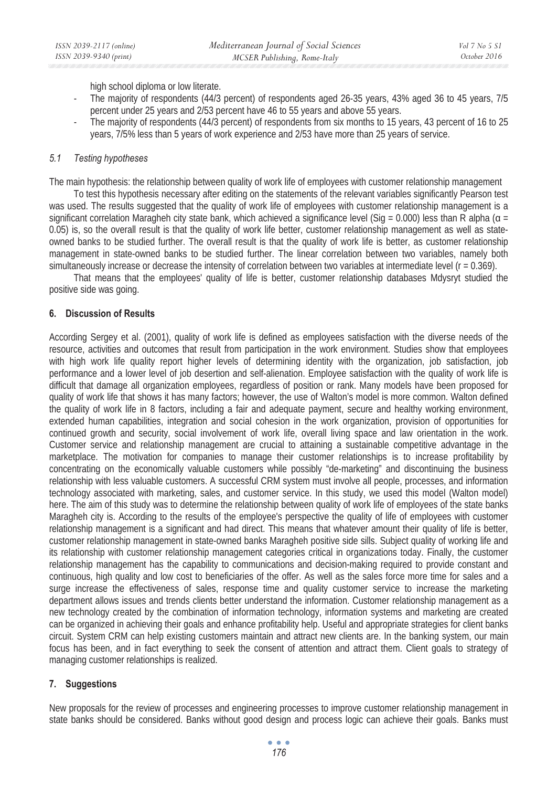high school diploma or low literate.

- The majority of respondents (44/3 percent) of respondents aged 26-35 years, 43% aged 36 to 45 years, 7/5 percent under 25 years and 2/53 percent have 46 to 55 years and above 55 years.
- The majority of respondents (44/3 percent) of respondents from six months to 15 years, 43 percent of 16 to 25 years, 7/5% less than 5 years of work experience and 2/53 have more than 25 years of service.

#### *5.1 Testing hypotheses*

The main hypothesis: the relationship between quality of work life of employees with customer relationship management

To test this hypothesis necessary after editing on the statements of the relevant variables significantly Pearson test was used. The results suggested that the quality of work life of employees with customer relationship management is a significant correlation Maragheh city state bank, which achieved a significance level (Sig = 0.000) less than R alpha ( $\alpha$  = 0.05) is, so the overall result is that the quality of work life better, customer relationship management as well as stateowned banks to be studied further. The overall result is that the quality of work life is better, as customer relationship management in state-owned banks to be studied further. The linear correlation between two variables, namely both simultaneously increase or decrease the intensity of correlation between two variables at intermediate level  $(r = 0.369)$ .

That means that the employees' quality of life is better, customer relationship databases Mdysryt studied the positive side was going.

#### **6. Discussion of Results**

According Sergey et al. (2001), quality of work life is defined as employees satisfaction with the diverse needs of the resource, activities and outcomes that result from participation in the work environment. Studies show that employees with high work life quality report higher levels of determining identity with the organization, job satisfaction, job performance and a lower level of job desertion and self-alienation. Employee satisfaction with the quality of work life is difficult that damage all organization employees, regardless of position or rank. Many models have been proposed for quality of work life that shows it has many factors; however, the use of Walton's model is more common. Walton defined the quality of work life in 8 factors, including a fair and adequate payment, secure and healthy working environment, extended human capabilities, integration and social cohesion in the work organization, provision of opportunities for continued growth and security, social involvement of work life, overall living space and law orientation in the work. Customer service and relationship management are crucial to attaining a sustainable competitive advantage in the marketplace. The motivation for companies to manage their customer relationships is to increase profitability by concentrating on the economically valuable customers while possibly "de-marketing" and discontinuing the business relationship with less valuable customers. A successful CRM system must involve all people, processes, and information technology associated with marketing, sales, and customer service. In this study, we used this model (Walton model) here. The aim of this study was to determine the relationship between quality of work life of employees of the state banks Maragheh city is. According to the results of the employee's perspective the quality of life of employees with customer relationship management is a significant and had direct. This means that whatever amount their quality of life is better, customer relationship management in state-owned banks Maragheh positive side sills. Subject quality of working life and its relationship with customer relationship management categories critical in organizations today. Finally, the customer relationship management has the capability to communications and decision-making required to provide constant and continuous, high quality and low cost to beneficiaries of the offer. As well as the sales force more time for sales and a surge increase the effectiveness of sales, response time and quality customer service to increase the marketing department allows issues and trends clients better understand the information. Customer relationship management as a new technology created by the combination of information technology, information systems and marketing are created can be organized in achieving their goals and enhance profitability help. Useful and appropriate strategies for client banks circuit. System CRM can help existing customers maintain and attract new clients are. In the banking system, our main focus has been, and in fact everything to seek the consent of attention and attract them. Client goals to strategy of managing customer relationships is realized.

# **7. Suggestions**

New proposals for the review of processes and engineering processes to improve customer relationship management in state banks should be considered. Banks without good design and process logic can achieve their goals. Banks must